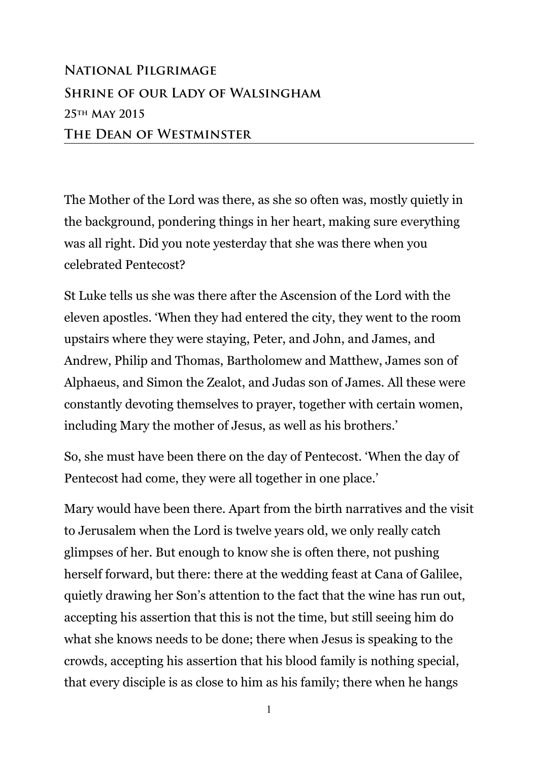## **National Pilgrimage Shrine of our Lady of Walsingham 25th May 2015 The Dean of Westminster**

The Mother of the Lord was there, as she so often was, mostly quietly in the background, pondering things in her heart, making sure everything was all right. Did you note yesterday that she was there when you celebrated Pentecost?

St Luke tells us she was there after the Ascension of the Lord with the eleven apostles. 'When they had entered the city, they went to the room upstairs where they were staying, Peter, and John, and James, and Andrew, Philip and Thomas, Bartholomew and Matthew, James son of Alphaeus, and Simon the Zealot, and Judas son of James. All these were constantly devoting themselves to prayer, together with certain women, including Mary the mother of Jesus, as well as his brothers.'

So, she must have been there on the day of Pentecost. 'When the day of Pentecost had come, they were all together in one place.'

Mary would have been there. Apart from the birth narratives and the visit to Jerusalem when the Lord is twelve years old, we only really catch glimpses of her. But enough to know she is often there, not pushing herself forward, but there: there at the wedding feast at Cana of Galilee, quietly drawing her Son's attention to the fact that the wine has run out, accepting his assertion that this is not the time, but still seeing him do what she knows needs to be done; there when Jesus is speaking to the crowds, accepting his assertion that his blood family is nothing special, that every disciple is as close to him as his family; there when he hangs

1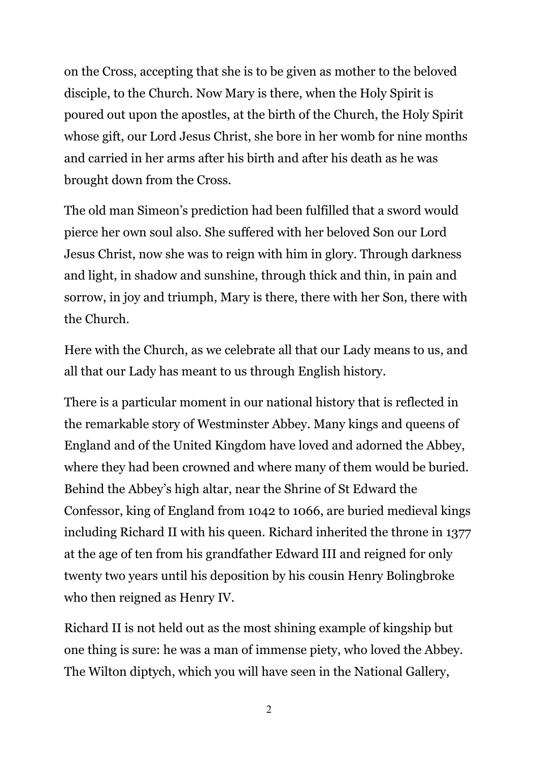on the Cross, accepting that she is to be given as mother to the beloved disciple, to the Church. Now Mary is there, when the Holy Spirit is poured out upon the apostles, at the birth of the Church, the Holy Spirit whose gift, our Lord Jesus Christ, she bore in her womb for nine months and carried in her arms after his birth and after his death as he was brought down from the Cross.

The old man Simeon's prediction had been fulfilled that a sword would pierce her own soul also. She suffered with her beloved Son our Lord Jesus Christ, now she was to reign with him in glory. Through darkness and light, in shadow and sunshine, through thick and thin, in pain and sorrow, in joy and triumph, Mary is there, there with her Son, there with the Church.

Here with the Church, as we celebrate all that our Lady means to us, and all that our Lady has meant to us through English history.

There is a particular moment in our national history that is reflected in the remarkable story of Westminster Abbey. Many kings and queens of England and of the United Kingdom have loved and adorned the Abbey, where they had been crowned and where many of them would be buried. Behind the Abbey's high altar, near the Shrine of St Edward the Confessor, king of England from 1042 to 1066, are buried medieval kings including Richard II with his queen. Richard inherited the throne in 1377 at the age of ten from his grandfather Edward III and reigned for only twenty two years until his deposition by his cousin Henry Bolingbroke who then reigned as Henry IV.

Richard II is not held out as the most shining example of kingship but one thing is sure: he was a man of immense piety, who loved the Abbey. The Wilton diptych, which you will have seen in the National Gallery,

2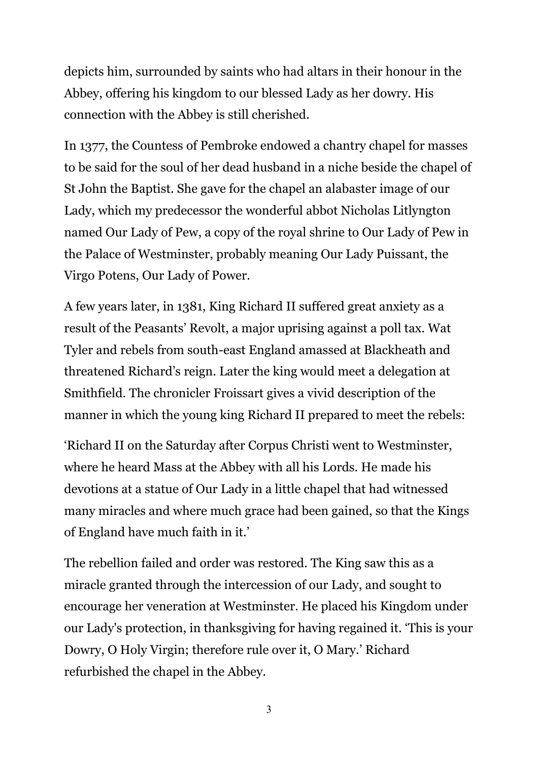depicts him, surrounded by saints who had altars in their honour in the Abbey, offering his kingdom to our blessed Lady as her dowry. His connection with the Abbey is still cherished.

In 1377, the Countess of Pembroke endowed a chantry chapel for masses to be said for the soul of her dead husband in a niche beside the chapel of St John the Baptist. She gave for the chapel an alabaster image of our Lady, which my predecessor the wonderful abbot Nicholas Litlyngton named Our Lady of Pew, a copy of the royal shrine to Our Lady of Pew in the Palace of Westminster, probably meaning Our Lady Puissant, the Virgo Potens, Our Lady of Power.

A few years later, in 1381, King Richard II suffered great anxiety as a result of the Peasants' Revolt, a major uprising against a poll tax. Wat Tyler and rebels from south-east England amassed at Blackheath and threatened Richard's reign. Later the king would meet a delegation at Smithfield. The chronicler [Froissart](http://en.wikipedia.org/wiki/Jean_Froissart) gives a vivid description of the manner in which the young king Richard II prepared to meet the rebels:

'Richard II on the Saturday after Corpus Christi went to Westminster, where he heard Mass at the Abbey with all his Lords. He made his devotions at a statue of [Our Lady](http://en.wikipedia.org/wiki/Blessed_Virgin_Mary) in a little chapel that had witnessed many miracles and where much grace had been gained, so that the Kings of England have much faith in it.'

The rebellion failed and order was restored. The King saw this as a miracle granted through the intercession of our Lady, and sought to encourage her veneration at Westminster. He placed his Kingdom under our Lady's protection, in thanksgiving for having regained it. 'This is your Dowry, O Holy Virgin; therefore rule over it, O Mary.' Richard refurbished the chapel in the Abbey.

3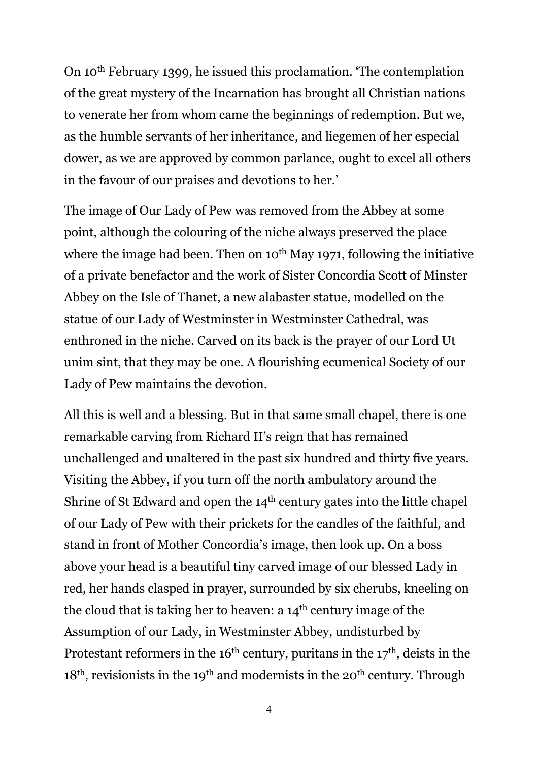On 10th February 1399, he issued this proclamation. 'The contemplation of the great mystery of the Incarnation has brought all Christian nations to venerate her from whom came the beginnings of redemption. But we, as the humble servants of her inheritance, and liegemen of her especial dower, as we are approved by common parlance, ought to excel all others in the favour of our praises and devotions to her.'

The image of Our Lady of Pew was removed from the Abbey at some point, although the colouring of the niche always preserved the place where the image had been. Then on  $10^{th}$  May 1971, following the initiative of a private benefactor and the work of Sister Concordia Scott of Minster Abbey on the Isle of Thanet, a new alabaster statue, modelled on the statue of our Lady of Westminster in Westminster Cathedral, was enthroned in the niche. Carved on its back is the prayer of our Lord Ut unim sint, that they may be one. A flourishing ecumenical Society of our Lady of Pew maintains the devotion.

All this is well and a blessing. But in that same small chapel, there is one remarkable carving from Richard II's reign that has remained unchallenged and unaltered in the past six hundred and thirty five years. Visiting the Abbey, if you turn off the north ambulatory around the Shrine of St Edward and open the 14<sup>th</sup> century gates into the little chapel of our Lady of Pew with their prickets for the candles of the faithful, and stand in front of Mother Concordia's image, then look up. On a boss above your head is a beautiful tiny carved image of our blessed Lady in red, her hands clasped in prayer, surrounded by six cherubs, kneeling on the cloud that is taking her to heaven: a 14th century image of the Assumption of our Lady, in Westminster Abbey, undisturbed by Protestant reformers in the  $16<sup>th</sup>$  century, puritans in the  $17<sup>th</sup>$ , deists in the  $18<sup>th</sup>$ , revisionists in the 19<sup>th</sup> and modernists in the 20<sup>th</sup> century. Through